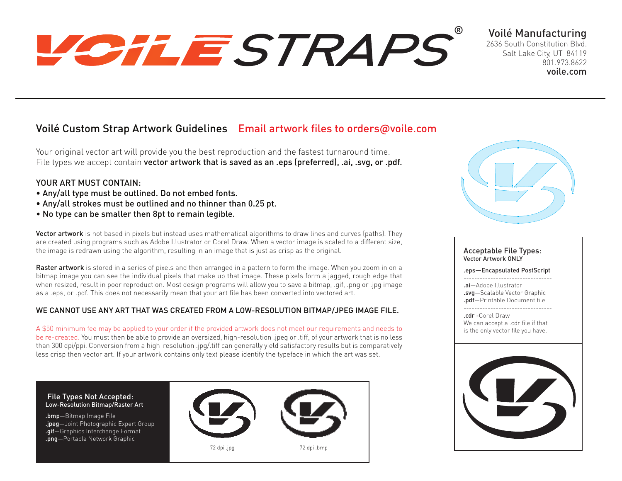# VOILESTRAPS

## Voilé Manufacturing

2636 South Constitution Blvd. Salt Lake City, UT 84119 801.973.8622 voile.com

## Voilé Custom Strap Artwork Guidelines Email artwork files to orders@voile.com

Your original vector art will provide you the best reproduction and the fastest turnaround time. File types we accept contain vector artwork that is saved as an .eps (preferred), .ai, .svg, or .pdf.

### YOUR ART MUST CONTAIN:

- Any/all type must be outlined. Do not embed fonts.
- Any/all strokes must be outlined and no thinner than 0.25 pt.
- No type can be smaller then 8pt to remain legible.

Vector artwork is not based in pixels but instead uses mathematical algorithms to draw lines and curves (paths). They are created using programs such as Adobe Illustrator or Corel Draw. When a vector image is scaled to a different size, the image is redrawn using the algorithm, resulting in an image that is just as crisp as the original.

Raster artwork is stored in a series of pixels and then arranged in a pattern to form the image. When you zoom in on a bitmap image you can see the individual pixels that make up that image. These pixels form a jagged, rough edge that when resized, result in poor reproduction. Most design programs will allow you to save a bitmap, .gif, .png or .jpg image as a .eps, or .pdf. This does not necessarily mean that your art file has been converted into vectored art.

#### WE CANNOT USE ANY ART THAT WAS CREATED FROM A LOW-RESOLUTION BITMAP/JPEG IMAGE FILE.

A \$50 minimum fee may be applied to your order if the provided artwork does not meet our requirements and needs to be re-created. You must then be able to provide an oversized, high-resolution .jpeg or .tiff, of your artwork that is no less than 300 dpi/ppi. Conversion from a high-resolution .jpg/.tiff can generally yield satisfactory results but is comparatively less crisp then vector art. If your artwork contains only text please identify the typeface in which the art was set.





#### Acceptable File Types: Vector Artwork ONLY

.eps—Encapsulated PostScript

--------------------------------- .ai—Adobe Illustrator

.svg—Scalable Vector Graphic .pdf—Printable Document file

---------------------------------

.cdr -Corel Draw We can accept a .cdr file if that is the only vector file you have.

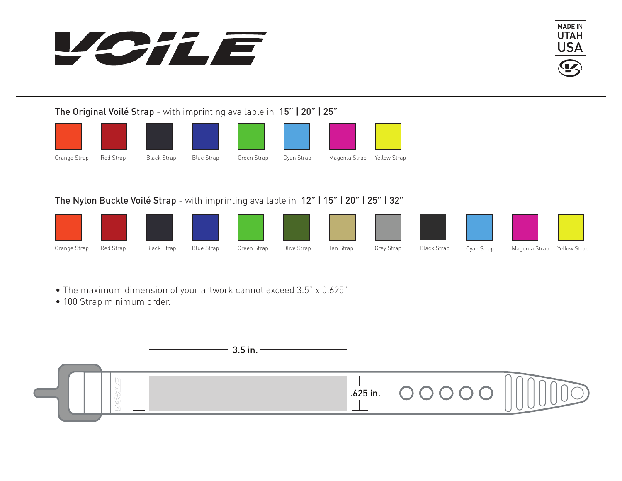



The Original Voilé Strap - with imprinting available in 15" | 20" | 25"









## The Nylon Buckle Voilé Strap - with imprinting available in 12" | 15" | 20" | 25" | 32"



- The maximum dimension of your artwork cannot exceed 3.5" x 0.625"
- 100 Strap minimum order.